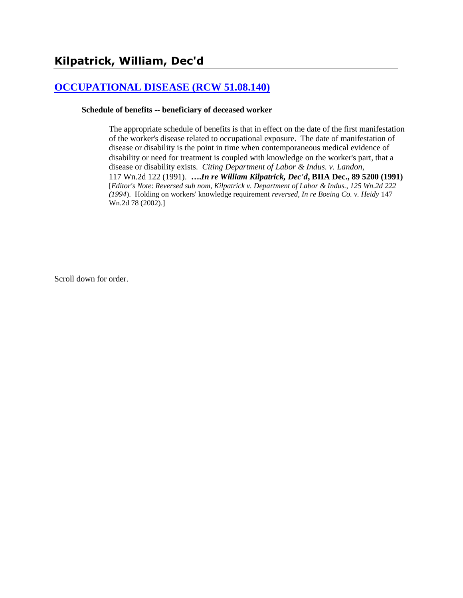# **[OCCUPATIONAL DISEASE \(RCW 51.08.140\)](http://www.biia.wa.gov/SDSubjectIndex.html#OCCUPATIONAL_DISEASE)**

#### **Schedule of benefits -- beneficiary of deceased worker**

The appropriate schedule of benefits is that in effect on the date of the first manifestation of the worker's disease related to occupational exposure. The date of manifestation of disease or disability is the point in time when contemporaneous medical evidence of disability or need for treatment is coupled with knowledge on the worker's part, that a disease or disability exists. *Citing Department of Labor & Indus. v. Landon*, 117 Wn.2d 122 (1991). **….***In re William Kilpatrick, Dec'd***, BIIA Dec., 89 5200 (1991)**  [*Editor's Note*: *Reversed sub nom, Kilpatrick v. Department of Labor & Indus., 125 Wn.2d 222 (1994*). Holding on workers' knowledge requirement *reversed, In re Boeing Co. v. Heidy* 147 Wn.2d 78 (2002).]

Scroll down for order.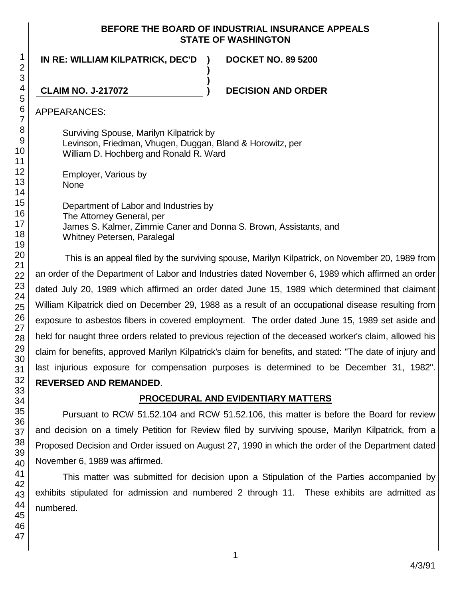## **BEFORE THE BOARD OF INDUSTRIAL INSURANCE APPEALS STATE OF WASHINGTON**

**)**

**)**

**IN RE: WILLIAM KILPATRICK, DEC'D )**

**DOCKET NO. 89 5200**

**CLAIM NO. J-217072 ) DECISION AND ORDER**

APPEARANCES:

Surviving Spouse, Marilyn Kilpatrick by Levinson, Friedman, Vhugen, Duggan, Bland & Horowitz, per William D. Hochberg and Ronald R. Ward

Employer, Various by None

Department of Labor and Industries by The Attorney General, per James S. Kalmer, Zimmie Caner and Donna S. Brown, Assistants, and Whitney Petersen, Paralegal

This is an appeal filed by the surviving spouse, Marilyn Kilpatrick, on November 20, 1989 from an order of the Department of Labor and Industries dated November 6, 1989 which affirmed an order dated July 20, 1989 which affirmed an order dated June 15, 1989 which determined that claimant William Kilpatrick died on December 29, 1988 as a result of an occupational disease resulting from exposure to asbestos fibers in covered employment. The order dated June 15, 1989 set aside and held for naught three orders related to previous rejection of the deceased worker's claim, allowed his claim for benefits, approved Marilyn Kilpatrick's claim for benefits, and stated: "The date of injury and last injurious exposure for compensation purposes is determined to be December 31, 1982". **REVERSED AND REMANDED**.

# **PROCEDURAL AND EVIDENTIARY MATTERS**

Pursuant to RCW 51.52.104 and RCW 51.52.106, this matter is before the Board for review and decision on a timely Petition for Review filed by surviving spouse, Marilyn Kilpatrick, from a Proposed Decision and Order issued on August 27, 1990 in which the order of the Department dated November 6, 1989 was affirmed.

This matter was submitted for decision upon a Stipulation of the Parties accompanied by exhibits stipulated for admission and numbered 2 through 11. These exhibits are admitted as numbered.

1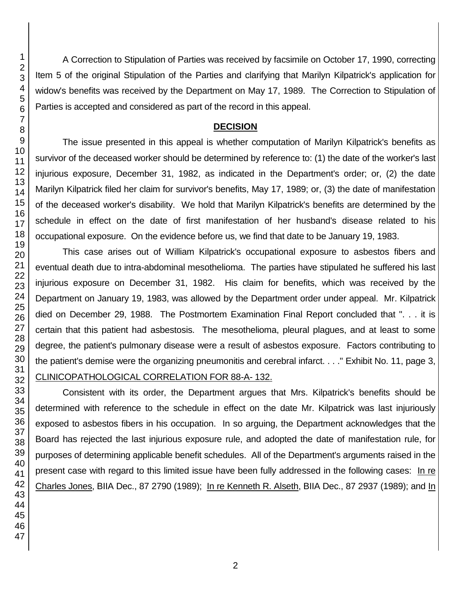A Correction to Stipulation of Parties was received by facsimile on October 17, 1990, correcting Item 5 of the original Stipulation of the Parties and clarifying that Marilyn Kilpatrick's application for widow's benefits was received by the Department on May 17, 1989. The Correction to Stipulation of Parties is accepted and considered as part of the record in this appeal.

## **DECISION**

The issue presented in this appeal is whether computation of Marilyn Kilpatrick's benefits as survivor of the deceased worker should be determined by reference to: (1) the date of the worker's last injurious exposure, December 31, 1982, as indicated in the Department's order; or, (2) the date Marilyn Kilpatrick filed her claim for survivor's benefits, May 17, 1989; or, (3) the date of manifestation of the deceased worker's disability. We hold that Marilyn Kilpatrick's benefits are determined by the schedule in effect on the date of first manifestation of her husband's disease related to his occupational exposure. On the evidence before us, we find that date to be January 19, 1983.

This case arises out of William Kilpatrick's occupational exposure to asbestos fibers and eventual death due to intra-abdominal mesothelioma. The parties have stipulated he suffered his last injurious exposure on December 31, 1982. His claim for benefits, which was received by the Department on January 19, 1983, was allowed by the Department order under appeal. Mr. Kilpatrick died on December 29, 1988. The Postmortem Examination Final Report concluded that ". . . it is certain that this patient had asbestosis. The mesothelioma, pleural plagues, and at least to some degree, the patient's pulmonary disease were a result of asbestos exposure. Factors contributing to the patient's demise were the organizing pneumonitis and cerebral infarct. . . ." Exhibit No. 11, page 3, CLINICOPATHOLOGICAL CORRELATION FOR 88-A- 132.

Consistent with its order, the Department argues that Mrs. Kilpatrick's benefits should be determined with reference to the schedule in effect on the date Mr. Kilpatrick was last injuriously exposed to asbestos fibers in his occupation. In so arguing, the Department acknowledges that the Board has rejected the last injurious exposure rule, and adopted the date of manifestation rule, for purposes of determining applicable benefit schedules. All of the Department's arguments raised in the present case with regard to this limited issue have been fully addressed in the following cases: In re Charles Jones, BIIA Dec., 87 2790 (1989); In re Kenneth R. Alseth, BIIA Dec., 87 2937 (1989); and In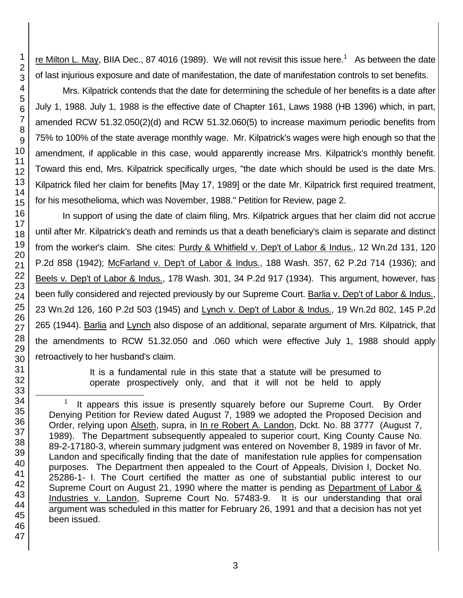re Milton L. May, BIIA Dec., 87 4016 (1989). We will not revisit this issue here.<sup>1</sup> As between the date of last injurious exposure and date of manifestation, the date of manifestation controls to set benefits.

Mrs. Kilpatrick contends that the date for determining the schedule of her benefits is a date after July 1, 1988. July 1, 1988 is the effective date of Chapter 161, Laws 1988 (HB 1396) which, in part, amended RCW 51.32.050(2)(d) and RCW 51.32.060(5) to increase maximum periodic benefits from 75% to 100% of the state average monthly wage. Mr. Kilpatrick's wages were high enough so that the amendment, if applicable in this case, would apparently increase Mrs. Kilpatrick's monthly benefit. Toward this end, Mrs. Kilpatrick specifically urges, "the date which should be used is the date Mrs. Kilpatrick filed her claim for benefits [May 17, 1989] or the date Mr. Kilpatrick first required treatment, for his mesothelioma, which was November, 1988." Petition for Review, page 2.

In support of using the date of claim filing, Mrs. Kilpatrick argues that her claim did not accrue until after Mr. Kilpatrick's death and reminds us that a death beneficiary's claim is separate and distinct from the worker's claim. She cites: Purdy & Whitfield v. Dep't of Labor & Indus., 12 Wn.2d 131, 120 P.2d 858 (1942); McFarland v. Dep't of Labor & Indus., 188 Wash. 357, 62 P.2d 714 (1936); and Beels v. Dep't of Labor & Indus., 178 Wash. 301, 34 P.2d 917 (1934). This argument, however, has been fully considered and rejected previously by our Supreme Court. Barlia v. Dep't of Labor & Indus., 23 Wn.2d 126, 160 P.2d 503 (1945) and Lynch v. Dep't of Labor & Indus., 19 Wn.2d 802, 145 P.2d 265 (1944). Barlia and Lynch also dispose of an additional, separate argument of Mrs. Kilpatrick, that the amendments to RCW 51.32.050 and .060 which were effective July 1, 1988 should apply retroactively to her husband's claim.

> It is a fundamental rule in this state that a statute will be presumed to operate prospectively only, and that it will not be held to apply

l

<sup>1</sup> It appears this issue is presently squarely before our Supreme Court. By Order Denying Petition for Review dated August 7, 1989 we adopted the Proposed Decision and Order, relying upon Alseth, supra, in In re Robert A. Landon, Dckt. No. 88 3777 (August 7, 1989). The Department subsequently appealed to superior court, King County Cause No. 89-2-17180-3, wherein summary judgment was entered on November 8, 1989 in favor of Mr. Landon and specifically finding that the date of manifestation rule applies for compensation purposes. The Department then appealed to the Court of Appeals, Division I, Docket No. 25286-1- I. The Court certified the matter as one of substantial public interest to our Supreme Court on August 21, 1990 where the matter is pending as Department of Labor & Industries v. Landon, Supreme Court No. 57483-9. It is our understanding that oral argument was scheduled in this matter for February 26, 1991 and that a decision has not yet been issued.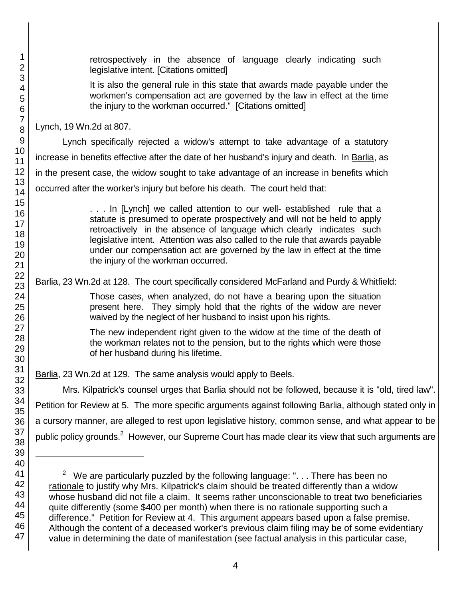l

retrospectively in the absence of language clearly indicating such legislative intent. [Citations omitted]

It is also the general rule in this state that awards made payable under the workmen's compensation act are governed by the law in effect at the time the injury to the workman occurred." [Citations omitted]

Lynch, 19 Wn.2d at 807.

Lynch specifically rejected a widow's attempt to take advantage of a statutory increase in benefits effective after the date of her husband's injury and death. In Barlia, as in the present case, the widow sought to take advantage of an increase in benefits which occurred after the worker's injury but before his death. The court held that:

> . . . In [Lynch] we called attention to our well- established rule that a statute is presumed to operate prospectively and will not be held to apply retroactively in the absence of language which clearly indicates such legislative intent. Attention was also called to the rule that awards payable under our compensation act are governed by the law in effect at the time the injury of the workman occurred.

Barlia, 23 Wn.2d at 128. The court specifically considered McFarland and Purdy & Whitfield:

Those cases, when analyzed, do not have a bearing upon the situation present here. They simply hold that the rights of the widow are never waived by the neglect of her husband to insist upon his rights.

The new independent right given to the widow at the time of the death of the workman relates not to the pension, but to the rights which were those of her husband during his lifetime.

Barlia, 23 Wn.2d at 129. The same analysis would apply to Beels.

Mrs. Kilpatrick's counsel urges that Barlia should not be followed, because it is "old, tired law". Petition for Review at 5. The more specific arguments against following Barlia, although stated only in a cursory manner, are alleged to rest upon legislative history, common sense, and what appear to be public policy grounds.<sup>2</sup> However, our Supreme Court has made clear its view that such arguments are

<sup>&</sup>lt;sup>2</sup> We are particularly puzzled by the following language: ". . . There has been no rationale to justify why Mrs. Kilpatrick's claim should be treated differently than a widow whose husband did not file a claim. It seems rather unconscionable to treat two beneficiaries quite differently (some \$400 per month) when there is no rationale supporting such a difference." Petition for Review at 4. This argument appears based upon a false premise. Although the content of a deceased worker's previous claim filing may be of some evidentiary value in determining the date of manifestation (see factual analysis in this particular case,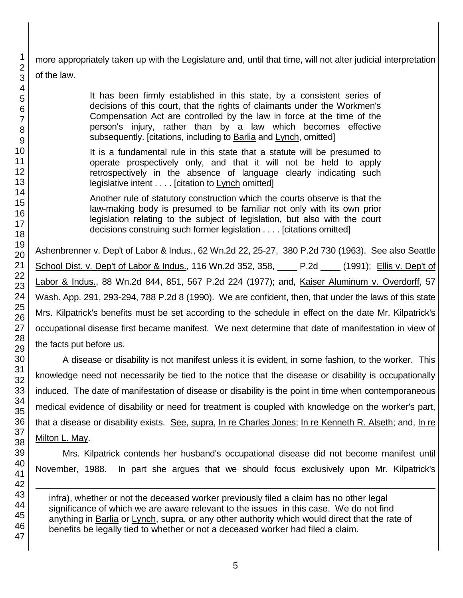more appropriately taken up with the Legislature and, until that time, will not alter judicial interpretation of the law.

> It has been firmly established in this state, by a consistent series of decisions of this court, that the rights of claimants under the Workmen's Compensation Act are controlled by the law in force at the time of the person's injury, rather than by a law which becomes effective subsequently. [citations, including to Barlia and Lynch, omitted]

> It is a fundamental rule in this state that a statute will be presumed to operate prospectively only, and that it will not be held to apply retrospectively in the absence of language clearly indicating such legislative intent . . . . [citation to Lynch omitted]

> Another rule of statutory construction which the courts observe is that the law-making body is presumed to be familiar not only with its own prior legislation relating to the subject of legislation, but also with the court decisions construing such former legislation . . . . [citations omitted]

Ashenbrenner v. Dep't of Labor & Indus., 62 Wn.2d 22, 25-27, 380 P.2d 730 (1963). See also Seattle School Dist. v. Dep't of Labor & Indus., 116 Wn.2d 352, 358, \_\_\_\_ P.2d \_\_\_\_ (1991); Ellis v. Dep't of Labor & Indus., 88 Wn.2d 844, 851, 567 P.2d 224 (1977); and, Kaiser Aluminum v. Overdorff, 57 Wash. App. 291, 293-294, 788 P.2d 8 (1990). We are confident, then, that under the laws of this state Mrs. Kilpatrick's benefits must be set according to the schedule in effect on the date Mr. Kilpatrick's occupational disease first became manifest. We next determine that date of manifestation in view of the facts put before us.

A disease or disability is not manifest unless it is evident, in some fashion, to the worker. This knowledge need not necessarily be tied to the notice that the disease or disability is occupationally induced. The date of manifestation of disease or disability is the point in time when contemporaneous medical evidence of disability or need for treatment is coupled with knowledge on the worker's part, that a disease or disability exists. See, supra, In re Charles Jones; In re Kenneth R. Alseth; and, In re Milton L. May.

Mrs. Kilpatrick contends her husband's occupational disease did not become manifest until November, 1988. In part she argues that we should focus exclusively upon Mr. Kilpatrick's

infra), whether or not the deceased worker previously filed a claim has no other legal significance of which we are aware relevant to the issues in this case. We do not find anything in Barlia or Lynch, supra, or any other authority which would direct that the rate of benefits be legally tied to whether or not a deceased worker had filed a claim.

1

1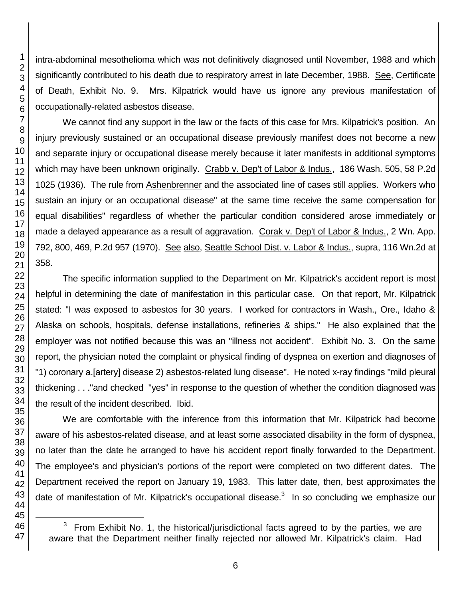l

intra-abdominal mesothelioma which was not definitively diagnosed until November, 1988 and which significantly contributed to his death due to respiratory arrest in late December, 1988. See, Certificate of Death, Exhibit No. 9. Mrs. Kilpatrick would have us ignore any previous manifestation of occupationally-related asbestos disease.

We cannot find any support in the law or the facts of this case for Mrs. Kilpatrick's position. An injury previously sustained or an occupational disease previously manifest does not become a new and separate injury or occupational disease merely because it later manifests in additional symptoms which may have been unknown originally. Crabb v. Dep't of Labor & Indus., 186 Wash. 505, 58 P.2d 1025 (1936). The rule from Ashenbrenner and the associated line of cases still applies. Workers who sustain an injury or an occupational disease" at the same time receive the same compensation for equal disabilities" regardless of whether the particular condition considered arose immediately or made a delayed appearance as a result of aggravation. Corak v. Dep't of Labor & Indus., 2 Wn. App. 792, 800, 469, P.2d 957 (1970). See also, Seattle School Dist. v. Labor & Indus., supra, 116 Wn.2d at 358.

The specific information supplied to the Department on Mr. Kilpatrick's accident report is most helpful in determining the date of manifestation in this particular case. On that report, Mr. Kilpatrick stated: "I was exposed to asbestos for 30 years. I worked for contractors in Wash., Ore., Idaho & Alaska on schools, hospitals, defense installations, refineries & ships." He also explained that the employer was not notified because this was an "illness not accident". Exhibit No. 3. On the same report, the physician noted the complaint or physical finding of dyspnea on exertion and diagnoses of "1) coronary a.[artery] disease 2) asbestos-related lung disease". He noted x-ray findings "mild pleural thickening . . ."and checked "yes" in response to the question of whether the condition diagnosed was the result of the incident described. Ibid.

We are comfortable with the inference from this information that Mr. Kilpatrick had become aware of his asbestos-related disease, and at least some associated disability in the form of dyspnea, no later than the date he arranged to have his accident report finally forwarded to the Department. The employee's and physician's portions of the report were completed on two different dates. The Department received the report on January 19, 1983. This latter date, then, best approximates the date of manifestation of Mr. Kilpatrick's occupational disease.<sup>3</sup> In so concluding we emphasize our

 From Exhibit No. 1, the historical/jurisdictional facts agreed to by the parties, we are aware that the Department neither finally rejected nor allowed Mr. Kilpatrick's claim. Had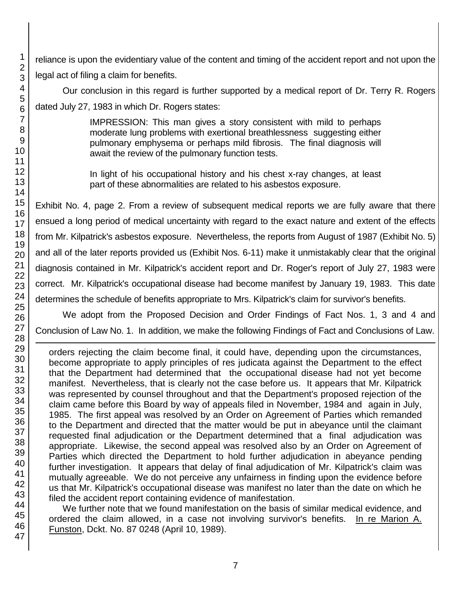reliance is upon the evidentiary value of the content and timing of the accident report and not upon the legal act of filing a claim for benefits.

Our conclusion in this regard is further supported by a medical report of Dr. Terry R. Rogers dated July 27, 1983 in which Dr. Rogers states:

> IMPRESSION: This man gives a story consistent with mild to perhaps moderate lung problems with exertional breathlessness suggesting either pulmonary emphysema or perhaps mild fibrosis. The final diagnosis will await the review of the pulmonary function tests.

> In light of his occupational history and his chest x-ray changes, at least part of these abnormalities are related to his asbestos exposure.

Exhibit No. 4, page 2. From a review of subsequent medical reports we are fully aware that there ensued a long period of medical uncertainty with regard to the exact nature and extent of the effects from Mr. Kilpatrick's asbestos exposure. Nevertheless, the reports from August of 1987 (Exhibit No. 5) and all of the later reports provided us (Exhibit Nos. 6-11) make it unmistakably clear that the original diagnosis contained in Mr. Kilpatrick's accident report and Dr. Roger's report of July 27, 1983 were correct. Mr. Kilpatrick's occupational disease had become manifest by January 19, 1983. This date determines the schedule of benefits appropriate to Mrs. Kilpatrick's claim for survivor's benefits.

We adopt from the Proposed Decision and Order Findings of Fact Nos. 1, 3 and 4 and Conclusion of Law No. 1. In addition, we make the following Findings of Fact and Conclusions of Law.

orders rejecting the claim become final, it could have, depending upon the circumstances, become appropriate to apply principles of res judicata against the Department to the effect that the Department had determined that the occupational disease had not yet become manifest. Nevertheless, that is clearly not the case before us. It appears that Mr. Kilpatrick was represented by counsel throughout and that the Department's proposed rejection of the claim came before this Board by way of appeals filed in November, 1984 and again in July, 1985. The first appeal was resolved by an Order on Agreement of Parties which remanded to the Department and directed that the matter would be put in abeyance until the claimant requested final adjudication or the Department determined that a final adjudication was appropriate. Likewise, the second appeal was resolved also by an Order on Agreement of Parties which directed the Department to hold further adjudication in abeyance pending further investigation. It appears that delay of final adjudication of Mr. Kilpatrick's claim was mutually agreeable. We do not perceive any unfairness in finding upon the evidence before us that Mr. Kilpatrick's occupational disease was manifest no later than the date on which he filed the accident report containing evidence of manifestation.

We further note that we found manifestation on the basis of similar medical evidence, and ordered the claim allowed, in a case not involving survivor's benefits. In re Marion A. Funston, Dckt. No. 87 0248 (April 10, 1989).

1